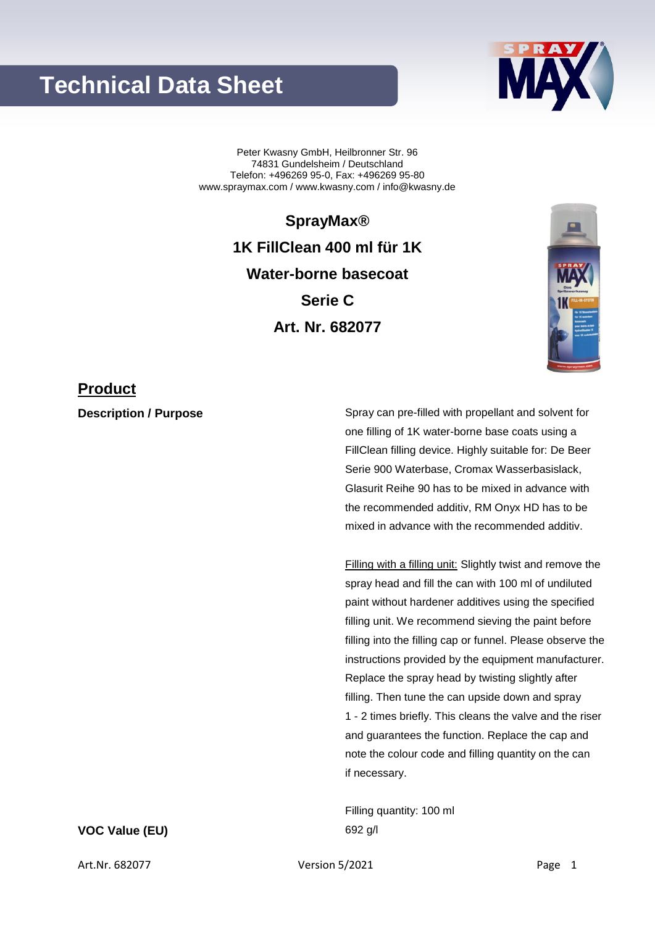## **Technical Data Sheet**



Peter Kwasny GmbH, Heilbronner Str. 96 74831 Gundelsheim / Deutschland Telefon: +496269 95-0, Fax: +496269 95-80 www.spraymax.com / www.kwasny.com / info@kwasny.de

> **SprayMax® 1K FillClean 400 ml für 1K Water-borne basecoat Serie C Art. Nr. 682077**



### **Product**

**Description / Purpose** Spray can pre-filled with propellant and solvent for one filling of 1K water-borne base coats using a FillClean filling device. Highly suitable for: De Beer Serie 900 Waterbase, Cromax Wasserbasislack, Glasurit Reihe 90 has to be mixed in advance with the recommended additiv, RM Onyx HD has to be mixed in advance with the recommended additiv.

> Filling with a filling unit: Slightly twist and remove the spray head and fill the can with 100 ml of undiluted paint without hardener additives using the specified filling unit. We recommend sieving the paint before filling into the filling cap or funnel. Please observe the instructions provided by the equipment manufacturer. Replace the spray head by twisting slightly after filling. Then tune the can upside down and spray 1 - 2 times briefly. This cleans the valve and the riser and guarantees the function. Replace the cap and note the colour code and filling quantity on the can if necessary.

Filling quantity: 100 ml

**VOC Value (EU)** 692 g/l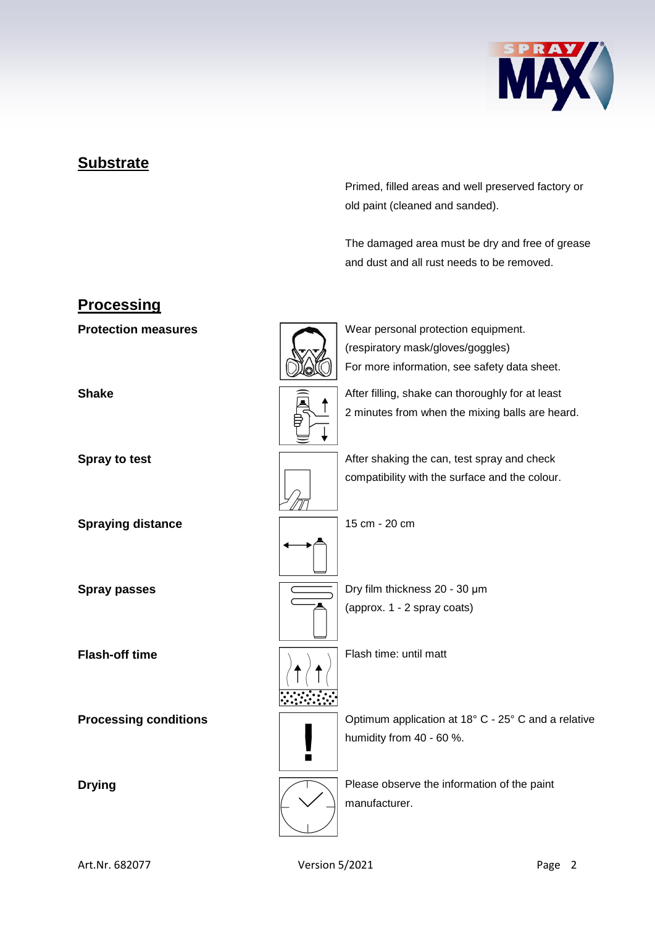

### **Substrate**

Primed, filled areas and well preserved factory or old paint (cleaned and sanded).

The damaged area must be dry and free of grease and dust and all rust needs to be removed.

### **Processing**

**Spraying distance** 15 cm - 20 cm

**Protection measures** Wear personal protection equipment. (respiratory mask/gloves/goggles) For more information, see safety data sheet.



**Shake Shake After filling, shake can thoroughly for at least** 2 minutes from when the mixing balls are heard.



**Spray to test** After shaking the can, test spray and check compatibility with the surface and the colour.



**Spray passes Dry film thickness 20 - 30 μm** (approx. 1 - 2 spray coats)



**Flash-off time** Flash time: until matt



**Processing conditions**  $\sqrt{2}$  Optimum application at 18° C - 25° C and a relative humidity from 40 - 60 %.



**Drying Driving Please observe the information of the paint** manufacturer.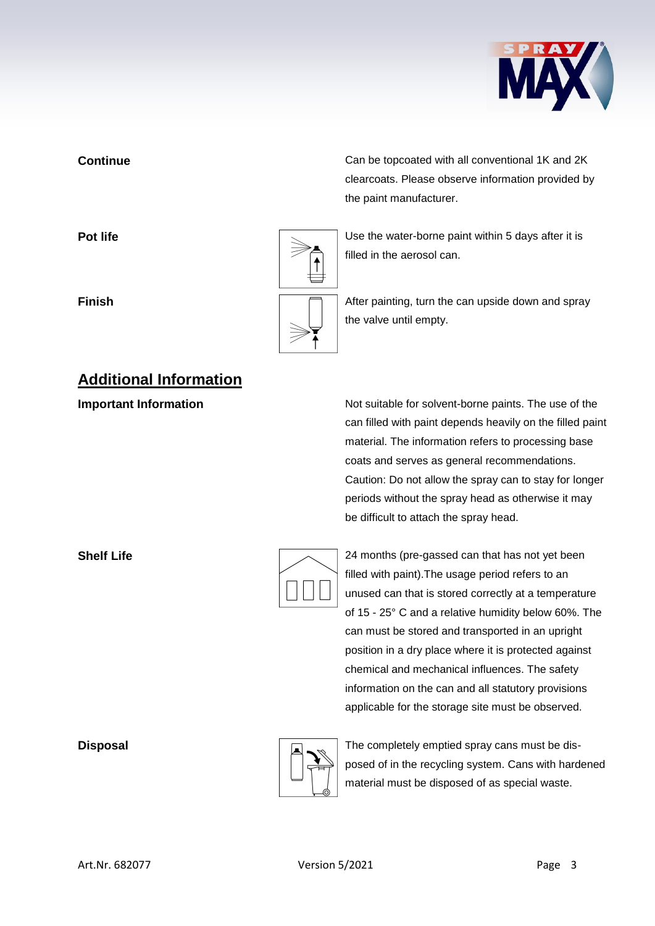

# **Additional Information**

**Continue** Can be topcoated with all conventional 1K and 2K clearcoats. Please observe information provided by the paint manufacturer.

**Pot life Pot life Pot life Pot life Pot life Department is a little value of**  $\sim$  **<b>Depending Life Depending 1** Use the water-borne paint within 5 days after it is filled in the aerosol can.

**Finish Finish Finish After painting, turn the can upside down and spray** the valve until empty.

**Important Information Information** Not suitable for solvent-borne paints. The use of the can filled with paint depends heavily on the filled paint material. The information refers to processing base coats and serves as general recommendations. Caution: Do not allow the spray can to stay for longer periods without the spray head as otherwise it may be difficult to attach the spray head.

|  | 24 months (    |
|--|----------------|
|  | filled with pa |
|  | unused can     |
|  | of 15 - 25° 0  |
|  | can must be    |

**Shelf Life** 24 months (pre-gassed can that has not yet been aint).The usage period refers to an that is stored correctly at a temperature C and a relative humidity below 60%. The e stored and transported in an upright position in a dry place where it is protected against chemical and mechanical influences. The safety information on the can and all statutory provisions applicable for the storage site must be observed.



**Disposal** Disposal **The completely emptied spray cans must be dis**posed of in the recycling system. Cans with hardened material must be disposed of as special waste.